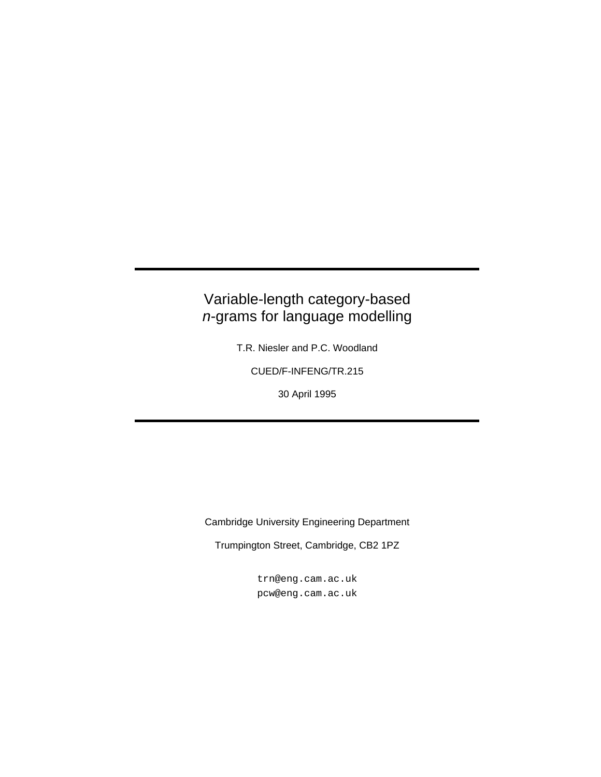### Variable-length category-based n-grams for language modelling

T.R. Niesler and P.C. Woodland

CUED/F-INFENG/TR.215

30 April 1995

Cambridge University Engineering Department

Trumpington Street, Cambridge, CB2 1PZ

trn@eng.cam.ac.uk pcw@eng.cam.ac.uk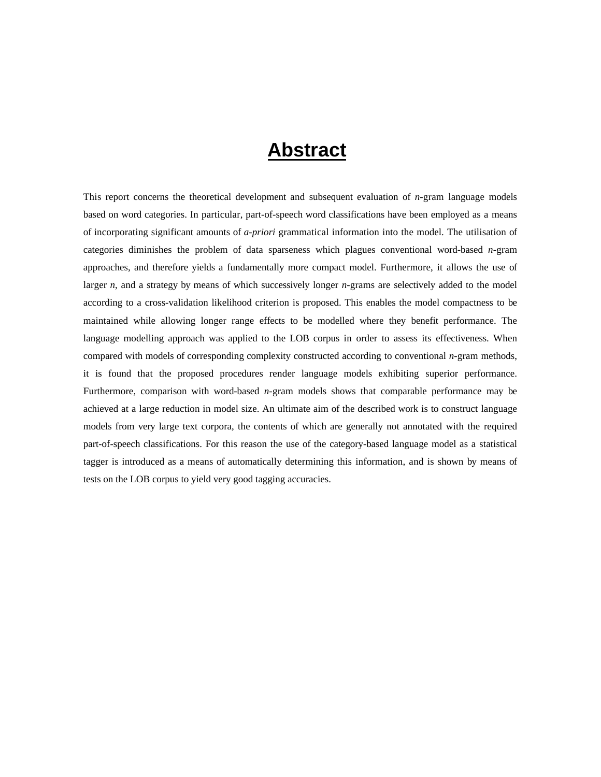## **Abstract**

This report concerns the theoretical development and subsequent evaluation of *n*-gram language models based on word categories. In particular, part-of-speech word classifications have been employed as a means of incorporating significant amounts of *a-priori* grammatical information into the model. The utilisation of categories diminishes the problem of data sparseness which plagues conventional word-based *n*-gram approaches, and therefore yields a fundamentally more compact model. Furthermore, it allows the use of larger *n*, and a strategy by means of which successively longer *n*-grams are selectively added to the model according to a cross-validation likelihood criterion is proposed. This enables the model compactness to be maintained while allowing longer range effects to be modelled where they benefit performance. The language modelling approach was applied to the LOB corpus in order to assess its effectiveness. When compared with models of corresponding complexity constructed according to conventional *n*-gram methods, it is found that the proposed procedures render language models exhibiting superior performance. Furthermore, comparison with word-based *n*-gram models shows that comparable performance may be achieved at a large reduction in model size. An ultimate aim of the described work is to construct language models from very large text corpora, the contents of which are generally not annotated with the required part-of-speech classifications. For this reason the use of the category-based language model as a statistical tagger is introduced as a means of automatically determining this information, and is shown by means of tests on the LOB corpus to yield very good tagging accuracies.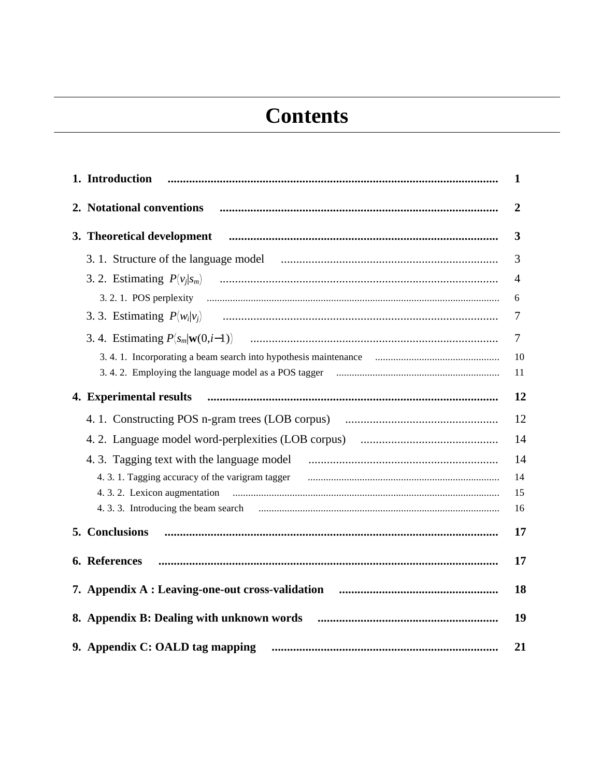# **Contents**

| 1. Introduction                                                                                                       | 1              |
|-----------------------------------------------------------------------------------------------------------------------|----------------|
| 2. Notational conventions                                                                                             | $\overline{2}$ |
|                                                                                                                       | 3              |
|                                                                                                                       | 3              |
|                                                                                                                       | 4              |
|                                                                                                                       | 6              |
|                                                                                                                       | 7              |
|                                                                                                                       | 7              |
| 3.4.1. Incorporating a beam search into hypothesis maintenance <i>maintenance maintenance maintenance maintenance</i> | 10             |
|                                                                                                                       | 11             |
| 4. Experimental results                                                                                               | 12             |
|                                                                                                                       | 12             |
|                                                                                                                       | 14             |
|                                                                                                                       | 14             |
|                                                                                                                       | 14             |
|                                                                                                                       | 15             |
|                                                                                                                       | 16             |
| 5. Conclusions                                                                                                        | 17             |
| 6. References                                                                                                         | 17             |
|                                                                                                                       | 18             |
|                                                                                                                       | 19             |
| 9. Appendix C: OALD tag mapping                                                                                       | 21             |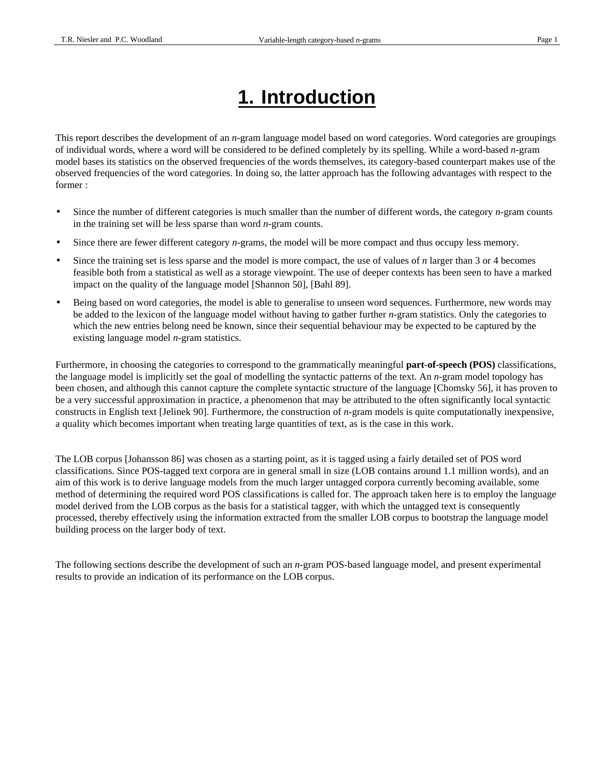# **1. Introduction**

This report describes the development of an *n*-gram language model based on word categories. Word categories are groupings of individual words, where a word will be considered to be defined completely by its spelling. While a word-based *n-*gram model bases its statistics on the observed frequencies of the words themselves, its category-based counterpart makes use of the observed frequencies of the word categories. In doing so, the latter approach has the following advantages with respect to the former :

- Since the number of different categories is much smaller than the number of different words, the category *n*-gram counts in the training set will be less sparse than word *n*-gram counts.
- Since there are fewer different category *n-*grams, the model will be more compact and thus occupy less memory.
- Since the training set is less sparse and the model is more compact, the use of values of *n* larger than 3 or 4 becomes feasible both from a statistical as well as a storage viewpoint. The use of deeper contexts has been seen to have a marked impact on the quality of the language model [Shannon 50], [Bahl 89].
- Being based on word categories, the model is able to generalise to unseen word sequences. Furthermore, new words may be added to the lexicon of the language model without having to gather further *n-*gram statistics. Only the categories to which the new entries belong need be known, since their sequential behaviour may be expected to be captured by the existing language model *n*-gram statistics.

Furthermore, in choosing the categories to correspond to the grammatically meaningful **part-of-speech (POS)** classifications, the language model is implicitly set the goal of modelling the syntactic patterns of the text. An *n*-gram model topology has been chosen, and although this cannot capture the complete syntactic structure of the language [Chomsky 56], it has proven to be a very successful approximation in practice, a phenomenon that may be attributed to the often significantly local syntactic constructs in English text [Jelinek 90]. Furthermore, the construction of *n*-gram models is quite computationally inexpensive, a quality which becomes important when treating large quantities of text, as is the case in this work.

The LOB corpus [Johansson 86] was chosen as a starting point, as it is tagged using a fairly detailed set of POS word classifications. Since POS-tagged text corpora are in general small in size (LOB contains around 1.1 million words), and an aim of this work is to derive language models from the much larger untagged corpora currently becoming available, some method of determining the required word POS classifications is called for. The approach taken here is to employ the language model derived from the LOB corpus as the basis for a statistical tagger, with which the untagged text is consequently processed, thereby effectively using the information extracted from the smaller LOB corpus to bootstrap the language model building process on the larger body of text.

The following sections describe the development of such an *n*-gram POS-based language model, and present experimental results to provide an indication of its performance on the LOB corpus.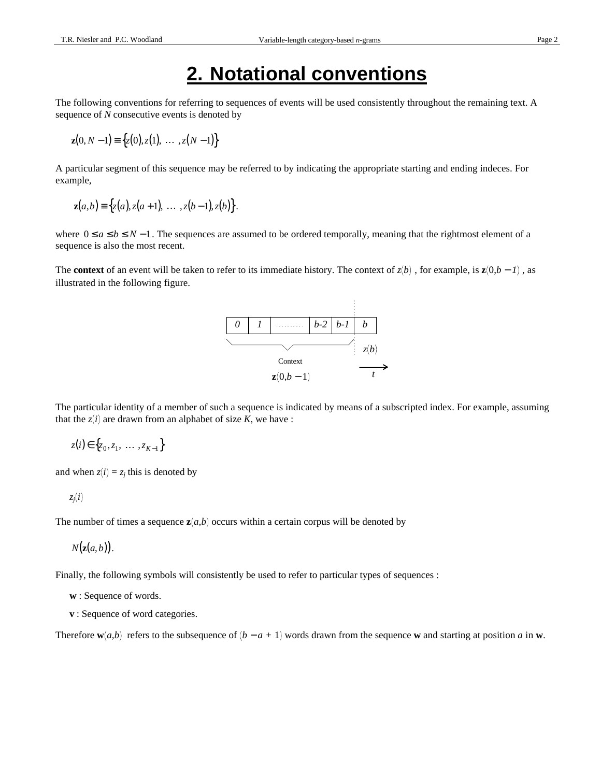## **2. Notational conventions**

The following conventions for referring to sequences of events will be used consistently throughout the remaining text. A sequence of *N* consecutive events is denoted by

$$
\mathbf{z}(0, N-1) \equiv \{z(0), z(1), \ldots, z(N-1)\}
$$

A particular segment of this sequence may be referred to by indicating the appropriate starting and ending indeces. For example,

$$
\mathbf{z}(a,b) \equiv \{z(a), z(a+1), \ldots, z(b-1), z(b)\}.
$$

where  $0 \le a \le b \le N - 1$ . The sequences are assumed to be ordered temporally, meaning that the rightmost element of a sequence is also the most recent.

The **context** of an event will be taken to refer to its immediate history. The context of  $z(b)$ , for example, is  $z(0,b-1)$ , as illustrated in the following figure.



The particular identity of a member of such a sequence is indicated by means of a subscripted index. For example, assuming that the  $z(i)$  are drawn from an alphabet of size  $K$ , we have :

 $z(i) \in \{z_0, z_1, \ldots, z_{K-1}\}$ 

and when  $z(i) = z_j$  this is denoted by

$$
z_j(i)
$$

The number of times a sequence  $z(a,b)$  occurs within a certain corpus will be denoted by

 $N(\mathbf{z}(a, b)).$ 

Finally, the following symbols will consistently be used to refer to particular types of sequences :

- **w** : Sequence of words.
- **v** : Sequence of word categories.

Therefore  $\mathbf{w}(a,b)$  refers to the subsequence of  $(b - a + 1)$  words drawn from the sequence **w** and starting at position *a* in **w**.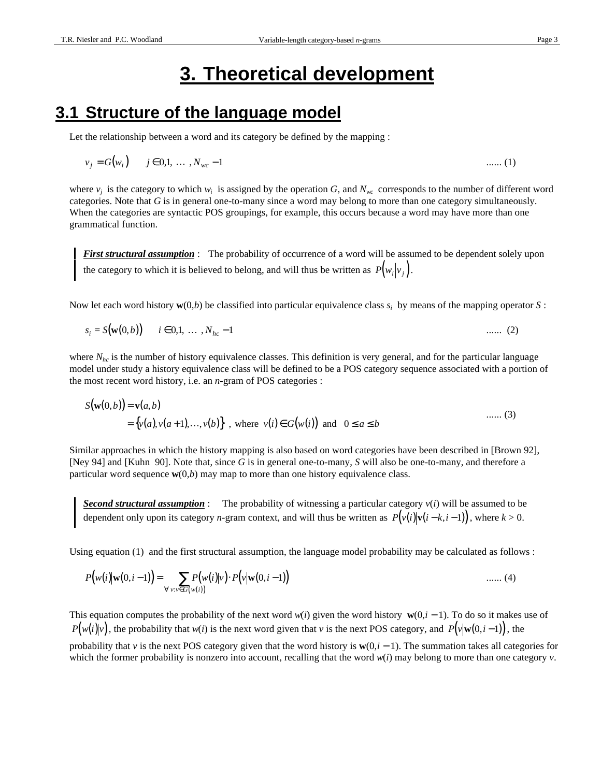# **3. Theoretical development**

#### **3.1 Structure of the language model**

Let the relationship between a word and its category be defined by the mapping :

$$
v_j = G(w_i) \qquad j \in 0,1, \ldots, N_{wc} - 1 \qquad \ldots \qquad (1)
$$

where  $v_j$  is the category to which  $w_i$  is assigned by the operation *G*, and  $N_{wc}$  corresponds to the number of different word categories. Note that *G* is in general one-to-many since a word may belong to more than one category simultaneously. When the categories are syntactic POS groupings, for example, this occurs because a word may have more than one grammatical function.

*First structural assumption* : The probability of occurrence of a word will be assumed to be dependent solely upon the category to which it is believed to belong, and will thus be written as  $P(w_i|v_j)$ .

Now let each word history **w**(0*,b*) be classified into particular equivalence class *s<sup>i</sup>* by means of the mapping operator *S* :

$$
s_i = S(\mathbf{w}(0, b)) \qquad i \in 0, 1, \ldots, N_{hc} - 1 \tag{2}
$$

where  $N_{hc}$  is the number of history equivalence classes. This definition is very general, and for the particular language model under study a history equivalence class will be defined to be a POS category sequence associated with a portion of the most recent word history, i.e. an *n*-gram of POS categories :

$$
S(\mathbf{w}(0,b)) = \mathbf{v}(a,b)
$$
  
= { $v(a), v(a+1),..., v(b)$ }, where  $v(i) \in G(w(i))$  and  $0 \le a \le b$  ...... (3)

Similar approaches in which the history mapping is also based on word categories have been described in [Brown 92], [Ney 94] and [Kuhn 90]. Note that, since *G* is in general one-to-many, *S* will also be one-to-many, and therefore a particular word sequence **w**(0*,b*) may map to more than one history equivalence class.

*Second structural assumption* : The probability of witnessing a particular category *v*(*i*) will be assumed to be dependent only upon its category *n*-gram context, and will thus be written as  $P(v(i)|v(i-k,i-1))$ , where  $k > 0$ .

Using equation (1) and the first structural assumption, the language model probability may be calculated as follows :

$$
P(w(i)|w(0,i-1)) = \sum_{\forall v:v \in G(w(i))} P(w(i)|v) \cdot P(v|w(0,i-1)) \quad ....... (4)
$$

This equation computes the probability of the next word  $w(i)$  given the word history  $\mathbf{w}(0,i-1)$ . To do so it makes use of  $P(w(i)|v)$ , the probability that *w*(*i*) is the next word given that *v* is the next POS category, and  $P(v|w(0,i-1))$ , the probability that *v* is the next POS category given that the word history is  $w(0, i - 1)$ . The summation takes all categories for which the former probability is nonzero into account, recalling that the word  $w(i)$  may belong to more than one category *v*.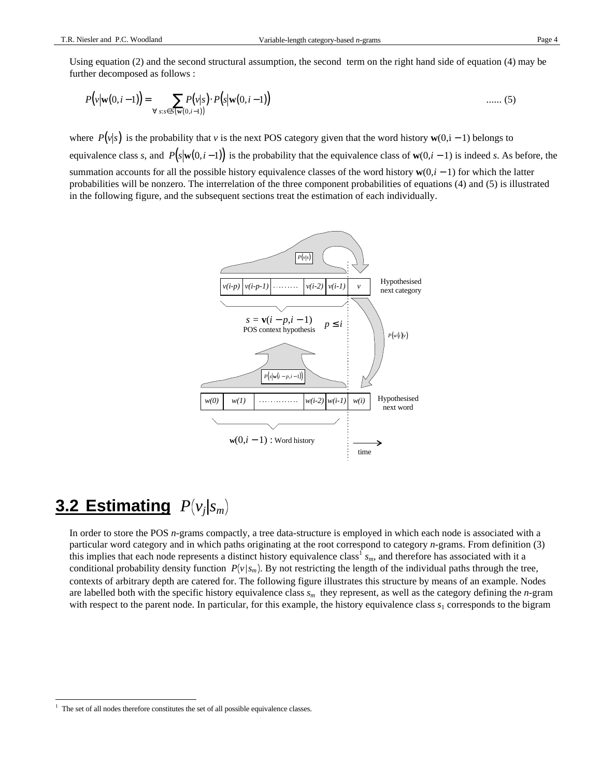Using equation (2) and the second structural assumption, the second term on the right hand side of equation (4) may be further decomposed as follows :

$$
P(v|\mathbf{w}(0,i-1)) = \sum_{\forall s:s \in S(\mathbf{w}(0,i-1))} P(s|\mathbf{w}(0,i-1)) \qquad \qquad \dots \dots (5)
$$

where  $P(v|s)$  is the probability that *v* is the next POS category given that the word history **w**(0,i – 1) belongs to equivalence class *s*, and  $P(s|w(0,i-1))$  is the probability that the equivalence class of  $w(0,i-1)$  is indeed *s*. As before, the summation accounts for all the possible history equivalence classes of the word history **w**(0*,i* − 1) for which the latter probabilities will be nonzero. The interrelation of the three component probabilities of equations (4) and (5) is illustrated in the following figure, and the subsequent sections treat the estimation of each individually.



# **3.2 Estimating** *P v<sup>j</sup>* |*s<sup>m</sup>*

-

In order to store the POS *n*-grams compactly, a tree data-structure is employed in which each node is associated with a particular word category and in which paths originating at the root correspond to category *n*-grams. From definition (3) this implies that each node represents a distinct history equivalence class<sup>1</sup> s<sub>*m*</sub>, and therefore has associated with it a conditional probability density function  $P(v|s_m)$ . By not restricting the length of the individual paths through the tree, contexts of arbitrary depth are catered for. The following figure illustrates this structure by means of an example. Nodes are labelled both with the specific history equivalence class *sm* they represent, as well as the category defining the *n*-gram with respect to the parent node. In particular, for this example, the history equivalence class  $s<sub>1</sub>$  corresponds to the bigram

<sup>&</sup>lt;sup>1</sup> The set of all nodes therefore constitutes the set of all possible equivalence classes.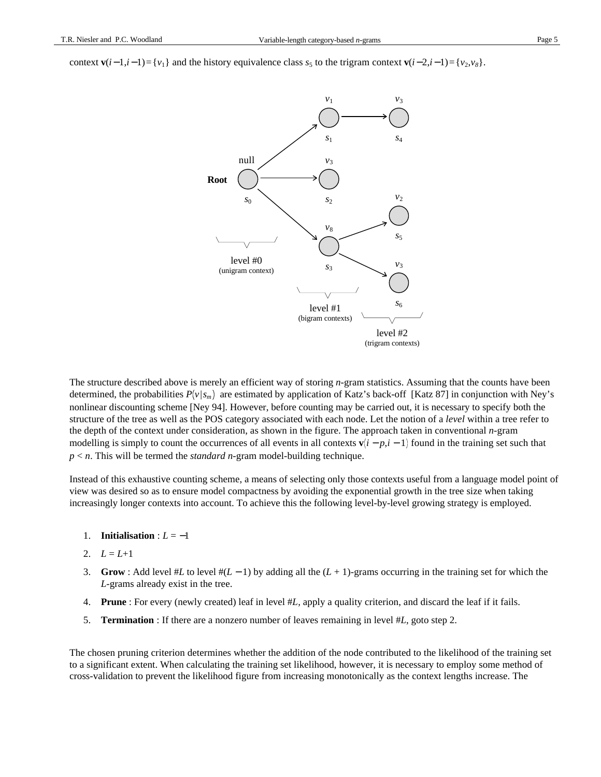context **v**( $i-1$ , $i-1$ )={ $v_1$ } and the history equivalence class  $s_5$  to the trigram context **v**( $i-2$ , $i-1$ )={ $v_2$ , $v_8$ }.



The structure described above is merely an efficient way of storing *n*-gram statistics. Assuming that the counts have been determined, the probabilities  $P(v|s_m)$  are estimated by application of Katz's back-off [Katz 87] in conjunction with Ney's nonlinear discounting scheme [Ney 94]. However, before counting may be carried out, it is necessary to specify both the structure of the tree as well as the POS category associated with each node. Let the notion of a *level* within a tree refer to the depth of the context under consideration, as shown in the figure. The approach taken in conventional *n*-gram modelling is simply to count the occurrences of all events in all contexts  $\mathbf{v}(i - p, i - 1)$  found in the training set such that *p* < *n*. This will be termed the *standard n*-gram model-building technique.

Instead of this exhaustive counting scheme, a means of selecting only those contexts useful from a language model point of view was desired so as to ensure model compactness by avoiding the exponential growth in the tree size when taking increasingly longer contexts into account. To achieve this the following level-by-level growing strategy is employed.

- 1. **Initialisation** :  $L = -1$
- 2.  $L = L+1$
- 3. **Grow** : Add level #*L* to level #(*L* − 1) by adding all the (*L* + 1)-grams occurring in the training set for which the *L*-grams already exist in the tree.
- 4. **Prune** : For every (newly created) leaf in level #*L,* apply a quality criterion, and discard the leaf if it fails.
- 5. **Termination** : If there are a nonzero number of leaves remaining in level #*L*, goto step 2.

The chosen pruning criterion determines whether the addition of the node contributed to the likelihood of the training set to a significant extent. When calculating the training set likelihood, however, it is necessary to employ some method of cross-validation to prevent the likelihood figure from increasing monotonically as the context lengths increase. The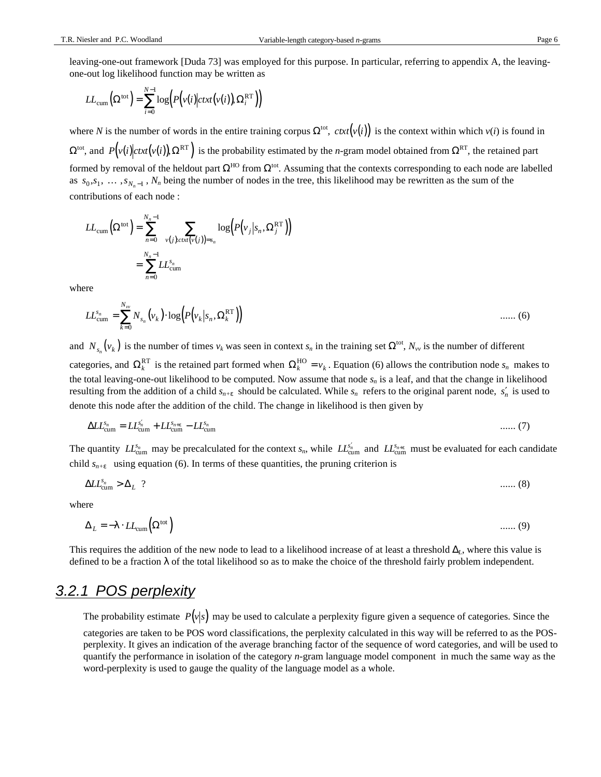leaving-one-out framework [Duda 73] was employed for this purpose. In particular, referring to appendix A, the leavingone-out log likelihood function may be written as

$$
LL_{\text{cum}}(\Omega^{\text{tot}}) = \sum_{i=0}^{N-1} \log \Bigl( P(v(i) \big| \text{ctxt}(v(i)), \Omega_i^{\text{RT}} \Bigr) \Bigr)
$$

where *N* is the number of words in the entire training corpus  $\Omega^{tot}$ ,  $ext(v(i))$  is the context within which  $v(i)$  is found in  $\Omega^{tot}$ , and  $P(v(i)|ctxt(v(i)), \Omega^{RT}$  is the probability estimated by the *n*-gram model obtained from  $\Omega^{RT}$ , the retained part formed by removal of the heldout part  $\Omega^{HO}$  from  $\Omega^{tot}$ . Assuming that the contexts corresponding to each node are labelled as  $s_0, s_1, \ldots, s_{N_n-1}$ ,  $N_n$  being the number of nodes in the tree, this likelihood may be rewritten as the sum of the contributions of each node :

$$
LL_{cum}(\Omega^{tot}) = \sum_{n=0}^{N_n-1} \left( \sum_{v(j), \text{ctxt}(v(j))=s_n} \log \left( P(v_j|s_n, \Omega_j^{RT}) \right) \right)
$$
  
= 
$$
\sum_{n=0}^{N_n-1} LL_{cum}^{s_n}
$$

where

$$
LL_{\text{cum}}^{s_n} = \sum_{k=0}^{N_{\text{vw}}} N_{s_n}(\nu_k) \cdot \log \Bigl( P(\nu_k | s_n, \Omega_k^{\text{RT}}) \Bigr) \qquad \qquad \dots \dots \tag{6}
$$

and  $N_{s_n}(v_k)$  is the number of times  $v_k$  was seen in context  $s_n$  in the training set  $\Omega^{tot}$ ,  $N_{vv}$  is the number of different categories, and  $\Omega_k^{\text{RT}}$  is the retained part formed when  $\Omega_k^{\text{HO}} = v_k$ . Equation (6) allows the contribution node  $s_n$  makes to the total leaving-one-out likelihood to be computed. Now assume that node  $s_n$  is a leaf, and that the change in likelihood resulting from the addition of a child  $s_{n+\varepsilon}$  should be calculated. While  $s_n$  refers to the original parent node,  $s'_n$  is used to denote this node after the addition of the child. The change in likelihood is then given by

$$
\Delta L_{\text{cum}}^{s_n} = L L_{\text{cum}}^{s'_n} + L L_{\text{cum}}^{s_{n+\epsilon}} - L L_{\text{cum}}^{s_n} \tag{7}
$$

The quantity  $LL_{\text{cum}}^{s_n}$  may be precalculated for the context  $s_n$ , while  $LL_{\text{cum}}^{s'_n}$  and  $LL_{\text{cum}}^{s_{n+\epsilon}}$  must be evaluated for each candidate child  $s_{n+\epsilon}$  using equation (6). In terms of these quantities, the pruning criterion is

∆*LL* ∆ *s L n* cum > ? ...... (8)

where

$$
\Delta_L = -\lambda \cdot LL_{\text{cum}} \left( \Omega^{\text{tot}} \right) \tag{9}
$$

This requires the addition of the new node to lead to a likelihood increase of at least a threshold ∆*L*, where this value is defined to be a fraction  $\lambda$  of the total likelihood so as to make the choice of the threshold fairly problem independent.

#### 3.2.1 POS perplexity

The probability estimate  $P(v|s)$  may be used to calculate a perplexity figure given a sequence of categories. Since the categories are taken to be POS word classifications, the perplexity calculated in this way will be referred to as the POSperplexity. It gives an indication of the average branching factor of the sequence of word categories, and will be used to quantify the performance in isolation of the category *n*-gram language model component in much the same way as the word-perplexity is used to gauge the quality of the language model as a whole.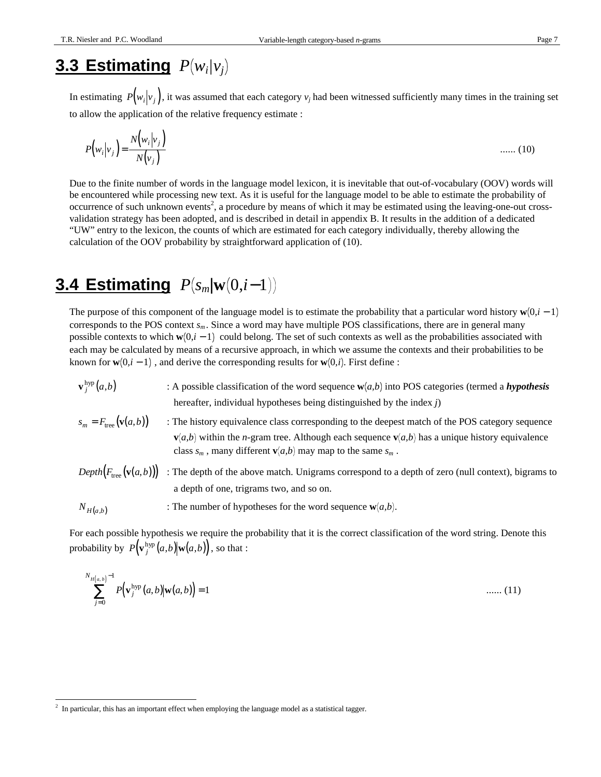## 3.3 Estimating  $P(w_i|v_j)$

In estimating  $P(w_i|v_j)$ , it was assumed that each category  $v_j$  had been witnessed sufficiently many times in the training set to allow the application of the relative frequency estimate :

$$
P\left(w_i|v_j\right) = \frac{N\left(w_i|v_j\right)}{N\left(v_j\right)}
$$
 ...... (10)

Due to the finite number of words in the language model lexicon, it is inevitable that out-of-vocabulary (OOV) words will be encountered while processing new text. As it is useful for the language model to be able to estimate the probability of occurrence of such unknown events<sup>2</sup>, a procedure by means of which it may be estimated using the leaving-one-out crossvalidation strategy has been adopted, and is described in detail in appendix B. It results in the addition of a dedicated "UW" entry to the lexicon, the counts of which are estimated for each category individually, thereby allowing the calculation of the OOV probability by straightforward application of (10).

# **3.4 Estimating**  $P(s_m|\mathbf{w}(0,i-1))$

The purpose of this component of the language model is to estimate the probability that a particular word history  $w(0,i-1)$ corresponds to the POS context  $s_m$ . Since a word may have multiple POS classifications, there are in general many possible contexts to which  $\mathbf{w}(0,i-1)$  could belong. The set of such contexts as well as the probabilities associated with each may be calculated by means of a recursive approach, in which we assume the contexts and their probabilities to be known for  $\mathbf{w}(0,i-1)$ , and derive the corresponding results for  $\mathbf{w}(0,i)$ . First define :

| $\mathbf{v}^{\mathrm{hyp}}_i(a,b)$        | : A possible classification of the word sequence $w(a,b)$ into POS categories (termed a <i>hypothesis</i><br>hereafter, individual hypotheses being distinguished by the index $j$ )                                                                                                                         |
|-------------------------------------------|--------------------------------------------------------------------------------------------------------------------------------------------------------------------------------------------------------------------------------------------------------------------------------------------------------------|
| $s_m = F_{\text{tree}}(\mathbf{v}(a, b))$ | : The history equivalence class corresponding to the deepest match of the POS category sequence<br>$\mathbf{v}(a,b)$ within the <i>n</i> -gram tree. Although each sequence $\mathbf{v}(a,b)$ has a unique history equivalence<br>class $s_m$ , many different $\mathbf{v}(a,b)$ may map to the same $s_m$ . |
| $Depth(F_{\text{tree}}(\mathbf{v}(a,b)))$ | : The depth of the above match. Unigrams correspond to a depth of zero (null context), bigrams to<br>a depth of one, trigrams two, and so on.                                                                                                                                                                |
| $N_{H(a,b)}$                              | : The number of hypotheses for the word sequence $w(a,b)$ .                                                                                                                                                                                                                                                  |

For each possible hypothesis we require the probability that it is the correct classification of the word string. Denote this probability by  $P(\mathbf{v}_j^{\text{hyp}}(a,b) | \mathbf{w}(a,b))$ , so that :

$$
\sum_{j=0}^{N_{H(a,b)}-1} P(\mathbf{v}_j^{\text{hyp}}(a,b) | \mathbf{w}(a,b)) = 1
$$
 ...... (11)

 2 In particular, this has an important effect when employing the language model as a statistical tagger.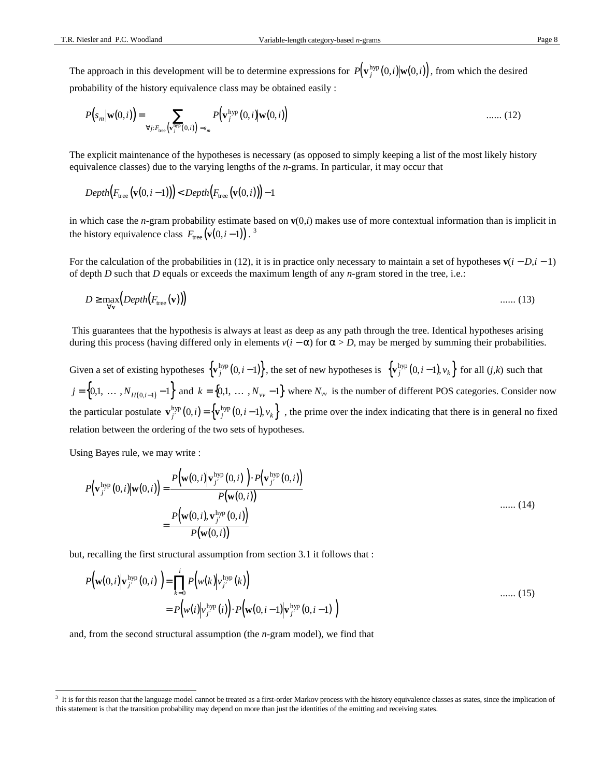The approach in this development will be to determine expressions for  $P(\mathbf{v}_j^{\text{hyp}}(0,i)|\mathbf{w}(0,i))$ , from which the desired probability of the history equivalence class may be obtained easily :

$$
P(s_m|\mathbf{w}(0,i)) = \sum_{\forall j: F_{\text{tree}}(\mathbf{v}_j^{\text{hyp}}(0,i)) = s_m} P(\mathbf{v}_j^{\text{hyp}}(0,i)|\mathbf{w}(0,i)) \quad \text{...... (12)}
$$

The explicit maintenance of the hypotheses is necessary (as opposed to simply keeping a list of the most likely history equivalence classes) due to the varying lengths of the *n*-grams. In particular, it may occur that

$$
Depth(F_{\text{tree}}(\mathbf{v}(0,i-1))) < Depth(F_{\text{tree}}(\mathbf{v}(0,i))) - 1
$$

in which case the *n*-gram probability estimate based on **v**(0,*i*) makes use of more contextual information than is implicit in the history equivalence class  $F_{\text{tree}}(\mathbf{v}(0,i-1))$ .<sup>3</sup>

For the calculation of the probabilities in (12), it is in practice only necessary to maintain a set of hypotheses  $\mathbf{v}(i - D, i - 1)$ of depth *D* such that *D* equals or exceeds the maximum length of any *n*-gram stored in the tree, i.e.:

$$
D \ge \max_{\forall \mathbf{v}} \left( \text{Depth}\big(F_{\text{tree}}(\mathbf{v})\big) \right) \tag{13}
$$

 This guarantees that the hypothesis is always at least as deep as any path through the tree. Identical hypotheses arising during this process (having differed only in elements  $v(i - \alpha)$  for  $\alpha > D$ , may be merged by summing their probabilities.

Given a set of existing hypotheses  $\{v_j^{hyp}(0,i-1)\}\$ , the set of new hypotheses is  $\{v_j^{hyp}(0,i-1),v_k\}\$  for all  $(j,k)$  such that  $j = \{0,1, \ldots, N_{H(0,i-1)}-1\}$  and  $k = \{0,1, \ldots, N_{vv}-1\}$  where  $N_{vv}$  is the number of different POS categories. Consider now the particular postulate  $\mathbf{v}^{\text{hyp}}_{j'}(0,i) = \left\{ \mathbf{v}^{\text{hyp}}_{j}(0,i-1), v_k \right\}$ , the prime over the index indicating that there is in general no fixed relation between the ordering of the two sets of hypotheses.

Using Bayes rule, we may write :

-

$$
P(\mathbf{v}_{j'}^{\text{hyp}}(0,i)|\mathbf{w}(0,i)) = \frac{P(\mathbf{w}(0,i)|\mathbf{v}_{j'}^{\text{hyp}}(0,i)) \cdot P(\mathbf{v}_{j'}^{\text{hyp}}(0,i))}{P(\mathbf{w}(0,i))}
$$
  
= 
$$
\frac{P(\mathbf{w}(0,i),\mathbf{v}_{j'}^{\text{hyp}}(0,i))}{P(\mathbf{w}(0,i))}
$$
 ...... (14)

but, recalling the first structural assumption from section 3.1 it follows that :

$$
P\left(\mathbf{w}(0,i)\middle|\mathbf{v}_{j'}^{\text{hyp}}(0,i)\right) = \prod_{k=0}^{i} P\left(w(k)\middle|\mathbf{v}_{j'}^{\text{hyp}}(k)\right)
$$
\n
$$
= P\left(w(i)\middle|\mathbf{v}_{j'}^{\text{hyp}}(i)\right) \cdot P\left(\mathbf{w}(0,i-1)\middle|\mathbf{v}_{j'}^{\text{hyp}}(0,i-1)\right)
$$
\n(15)

and, from the second structural assumption (the *n*-gram model), we find that

<sup>3</sup> It is for this reason that the language model cannot be treated as a first-order Markov process with the history equivalence classes as states, since the implication of this statement is that the transition probability may depend on more than just the identities of the emitting and receiving states.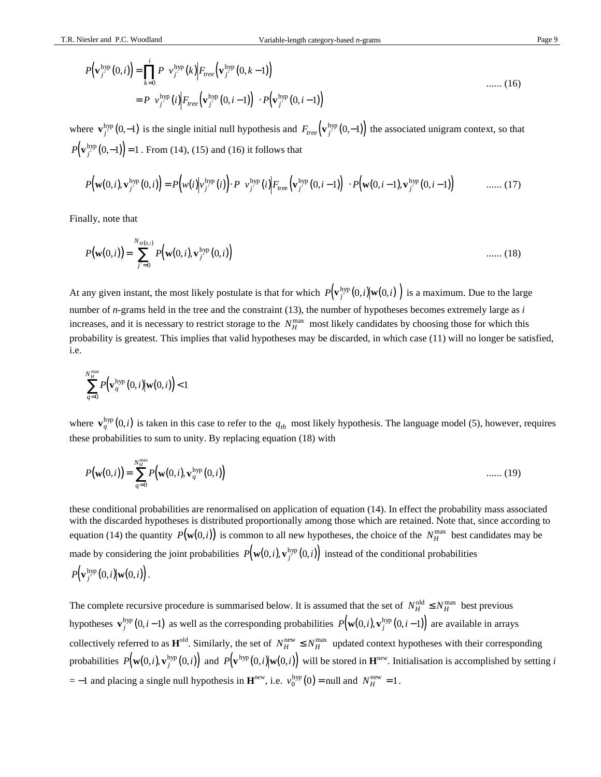$$
P(\mathbf{v}_{j'}^{\text{hyp}}(0,i)) = \prod_{k=0}^{i} P(\nu_{j'}^{\text{hyp}}(k) | F_{\text{tree}}(\mathbf{v}_{j'}^{\text{hyp}}(0,k-1)) )
$$
  
= 
$$
P(\nu_{j'}^{\text{hyp}}(i) | F_{\text{tree}}(\mathbf{v}_{j'}^{\text{hyp}}(0,i-1)) ) \cdot P(\mathbf{v}_{j'}^{\text{hyp}}(0,i-1))
$$
 ...... (16)

where  $\mathbf{v}_{j'}^{\text{hyp}}(0,-1)$  is the single initial null hypothesis and  $F_{tree}(\mathbf{v}_{j'}^{\text{hyp}}(0,-1))$  the associated unigram context, so that  $P(\mathbf{v}^{\text{hyp}}_{j'}(0,-1)) = 1$  . From (14), (15) and (16) it follows that

$$
P\big(\mathbf{w}(0,i),\mathbf{v}_{j'}^{\mathrm{hyp}}(0,i)\big) = P\big(\mathbf{w}(i)\big|\mathbf{v}_{j'}^{\mathrm{hyp}}(i)\big) \cdot P\big(\mathbf{v}_{j'}^{\mathrm{hyp}}(i)\big| \mathbf{F}_{\mathrm{tree}}\big(\mathbf{v}_{j'}^{\mathrm{hyp}}(0,i-1)\big)\big) \cdot P\big(\mathbf{w}(0,i-1),\mathbf{v}_{j'}^{\mathrm{hyp}}(0,i-1)\big) \qquad \qquad \dots \dots \tag{17}
$$

Finally, note that

$$
P(\mathbf{w}(0,i)) = \sum_{j'=0}^{N_{H(0,i)}} P(\mathbf{w}(0,i), \mathbf{v}_{j'}^{\text{hyp}}(0,i)) \quad \dots \dots (18)
$$

At any given instant, the most likely postulate is that for which  $P(\mathbf{v}^{\text{hyp}}_{j'}(0,i)|\mathbf{w}(0,i))$  is a maximum. Due to the large number of *n*-grams held in the tree and the constraint (13), the number of hypotheses becomes extremely large as *i* increases, and it is necessary to restrict storage to the  $N_H^{\text{max}}$  most likely candidates by choosing those for which this probability is greatest. This implies that valid hypotheses may be discarded, in which case (11) will no longer be satisfied, i.e.

$$
\sum_{q=0}^{N_H^{\text{max}}} P(\mathbf{v}_q^{\text{hyp}}(0,i) | \mathbf{w}(0,i)) < 1
$$

where  $\mathbf{v}_q^{\text{hyp}}(0,i)$  is taken in this case to refer to the  $q_{th}$  most likely hypothesis. The language model (5), however, requires these probabilities to sum to unity. By replacing equation (18) with

$$
P(\mathbf{w}(0,i)) = \sum_{q=0}^{N_{H}^{\text{max}}} P(\mathbf{w}(0,i), \mathbf{v}_q^{\text{hyp}}(0,i)) \qquad \qquad \dots \dots (19)
$$

these conditional probabilities are renormalised on application of equation (14). In effect the probability mass associated with the discarded hypotheses is distributed proportionally among those which are retained. Note that, since according to equation (14) the quantity  $P(\mathbf{w}(0,i))$  is common to all new hypotheses, the choice of the  $N_H^{\text{max}}$  best candidates may be made by considering the joint probabilities  $P(\mathbf{w}(0,i), \mathbf{v}_{j'}^{\text{hyp}}(0,i))$  instead of the conditional probabilities

$$
P(\mathbf{v}_{j'}^{\mathrm{hyp}}(0,i)|\mathbf{w}(0,i)).
$$

The complete recursive procedure is summarised below. It is assumed that the set of  $N_H^{\text{old}} \le N_H^{\text{max}}$  best previous hypotheses  $\mathbf{v}^{\text{hyp}}_j(0, i-1)$  as well as the corresponding probabilities  $P(\mathbf{w}(0,i), \mathbf{v}^{\text{hyp}}_j(0, i-1))$  are available in arrays collectively referred to as  $\mathbf{H}^{\text{old}}$ . Similarly, the set of  $N_H^{\text{new}} \leq N_H^{\text{max}}$  updated context hypotheses with their corresponding probabilities  $P\big(\mathbf{w}(0,i),\mathbf{v}_j^{\mathrm{hyp}}(0,i)\big)$  and  $P\big(\mathbf{v}^{\mathrm{hyp}}(0,i)\big|\mathbf{w}(0,i)\big)$  will be stored in  $\mathbf{H}^{\mathrm{new}}$ . Initialisation is accomplished by setting i  $= -1$  and placing a single null hypothesis in  $\mathbf{H}^{\text{new}}$ , i.e.  $v_0^{\text{hyp}}(0) = \text{null}$  and  $N_H^{\text{new}} = 1$ .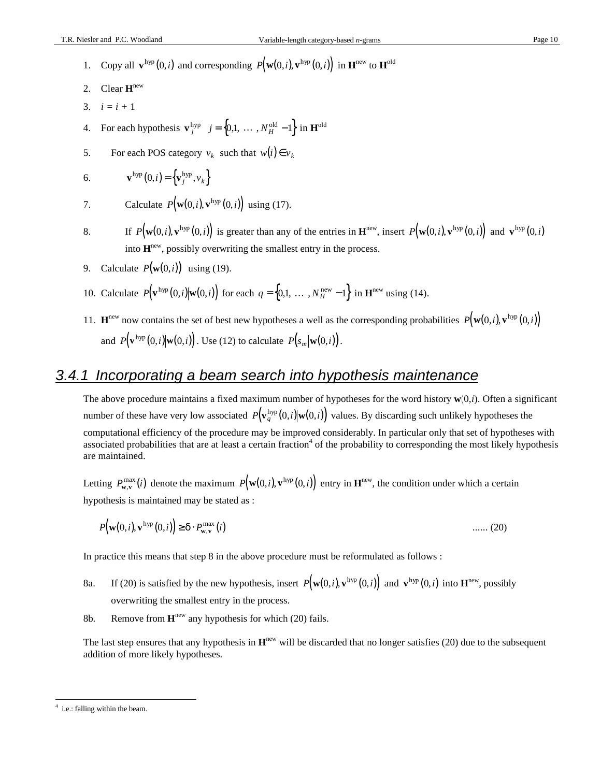- 1. Copy all  $\mathbf{v}^{\text{hyp}}(0,i)$  and corresponding  $P(\mathbf{w}(0,i), \mathbf{v}^{\text{hyp}}(0,i))$  in  $\mathbf{H}^{\text{new}}$  to  $\mathbf{H}^{\text{old}}$
- 2. Clear **H** new
- 3. *i = i +* 1
- 4. For each hypothesis  $\mathbf{v}_j^{\text{hyp}}$   $j = \{0,1, \dots, N_H^{\text{old}} 1\}$  in  $\mathbf{H}^{\text{old}}$
- 5. For each POS category  $v_k$  such that  $w(i) \in v_k$

6. 
$$
\mathbf{v}^{\text{hyp}}(0,i) = \left\{ \mathbf{v}_j^{\text{hyp}}, v_k \right\}
$$

7. Calculate 
$$
P(\mathbf{w}(0,i), \mathbf{v}^{\text{hyp}}(0,i))
$$
 using (17).

- 8. If  $P(\mathbf{w}(0,i), \mathbf{v}^{\text{hyp}}(0,i))$  is greater than any of the entries in  $\mathbf{H}^{\text{new}}$ , insert  $P(\mathbf{w}(0,i), \mathbf{v}^{\text{hyp}}(0,i))$  and  $\mathbf{v}^{\text{hyp}}(0,i)$ into  $H<sup>new</sup>$ , possibly overwriting the smallest entry in the process.
- 9. Calculate *P*(**w**(0,*i*)) using (19).
- 10. Calculate  $P(\mathbf{v}^{\text{hyp}}(0,i)|\mathbf{w}(0,i))$  for each  $q = \{0,1, \ldots, N_H^{\text{new}}-1\}$  in  $\mathbf{H}^{\text{new}}$  using (14).
- 11. **H**<sup>new</sup> now contains the set of best new hypotheses a well as the corresponding probabilities  $P(\mathbf{w}(0,i), \mathbf{v}^{\text{hyp}}(0,i))$ and  $P(\mathbf{v}^{\text{hyp}}(0,i)|\mathbf{w}(0,i))$ . Use (12) to calculate  $P(s_m|\mathbf{w}(0,i))$ .

#### 3.4.1 Incorporating a beam search into hypothesis maintenance

The above procedure maintains a fixed maximum number of hypotheses for the word history  $w(0,i)$ . Often a significant number of these have very low associated  $P(\mathbf{v}_q^{\text{hyp}}(0,i)|\mathbf{w}(0,i))$  values. By discarding such unlikely hypotheses the computational efficiency of the procedure may be improved considerably. In particular only that set of hypotheses with associated probabilities that are at least a certain fraction<sup>4</sup> of the probability to corresponding the most likely hypothesis are maintained.

Letting  $P_{\mathbf{w},\mathbf{v}}^{\max}(i)$  denote the maximum  $P(\mathbf{w}(0,i),\mathbf{v}^{\text{hyp}}(0,i))$  entry in  $\mathbf{H}^{\text{new}}$ , the condition under which a certain hypothesis is maintained may be stated as :

$$
P(\mathbf{w}(0,i),\mathbf{v}^{\text{hyp}}(0,i)) \ge \delta \cdot P_{\mathbf{w},\mathbf{v}}^{\text{max}}(i) \tag{20}
$$

In practice this means that step 8 in the above procedure must be reformulated as follows :

- 8a. If (20) is satisfied by the new hypothesis, insert  $P(\mathbf{w}(0,i), \mathbf{v}^{\text{hyp}}(0,i))$  and  $\mathbf{v}^{\text{hyp}}(0,i)$  into  $\mathbf{H}^{\text{new}}$ , possibly overwriting the smallest entry in the process.
- 8b. Remove from **H** new any hypothesis for which (20) fails.

The last step ensures that any hypothesis in  $H^{new}$  will be discarded that no longer satisfies (20) due to the subsequent addition of more likely hypotheses.

 4 i.e.: falling within the beam.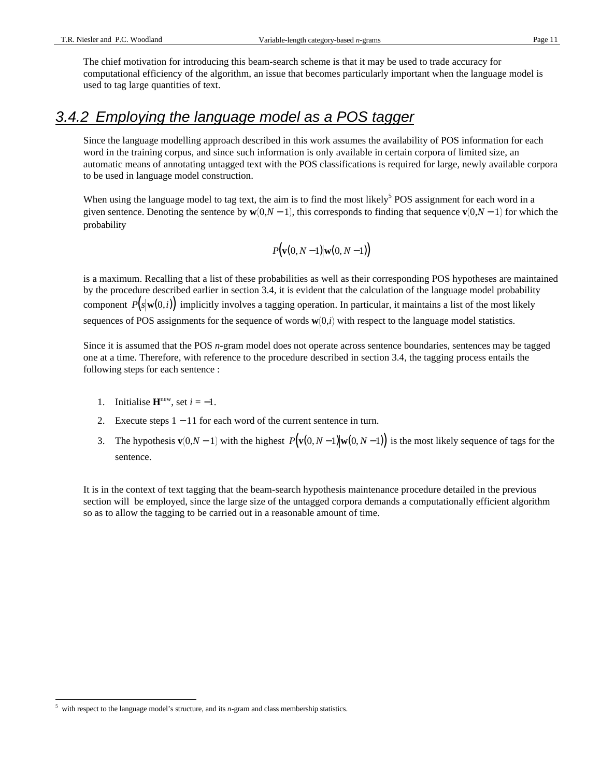The chief motivation for introducing this beam-search scheme is that it may be used to trade accuracy for computational efficiency of the algorithm, an issue that becomes particularly important when the language model is used to tag large quantities of text.

#### 3.4.2 Employing the language model as a POS tagger

Since the language modelling approach described in this work assumes the availability of POS information for each word in the training corpus, and since such information is only available in certain corpora of limited size, an automatic means of annotating untagged text with the POS classifications is required for large, newly available corpora to be used in language model construction.

When using the language model to tag text, the aim is to find the most likely<sup>5</sup> POS assignment for each word in a given sentence. Denoting the sentence by  $\mathbf{w}(0,N-1)$ , this corresponds to finding that sequence  $\mathbf{v}(0,N-1)$  for which the probability

$$
P\big(\mathbf{v}(0, N-1) | \mathbf{w}(0, N-1)\big)
$$

is a maximum. Recalling that a list of these probabilities as well as their corresponding POS hypotheses are maintained by the procedure described earlier in section 3.4, it is evident that the calculation of the language model probability component  $P(s|\mathbf{w}(0,i))$  implicitly involves a tagging operation. In particular, it maintains a list of the most likely sequences of POS assignments for the sequence of words  $\mathbf{w}(0,i)$  with respect to the language model statistics.

Since it is assumed that the POS *n*-gram model does not operate across sentence boundaries, sentences may be tagged one at a time. Therefore, with reference to the procedure described in section 3.4, the tagging process entails the following steps for each sentence :

- 1. Initialise  $\mathbf{H}^{\text{new}}$ , set  $i = -1$ .
- 2. Execute steps 1 − 11 for each word of the current sentence in turn.
- 3. The hypothesis **v** $(0, N 1)$  with the highest  $P(\mathbf{v}(0, N 1) | \mathbf{w}(0, N 1))$  is the most likely sequence of tags for the sentence.

It is in the context of text tagging that the beam-search hypothesis maintenance procedure detailed in the previous section will be employed, since the large size of the untagged corpora demands a computationally efficient algorithm so as to allow the tagging to be carried out in a reasonable amount of time.

<sup>-</sup>5 with respect to the language model's structure, and its *n*-gram and class membership statistics.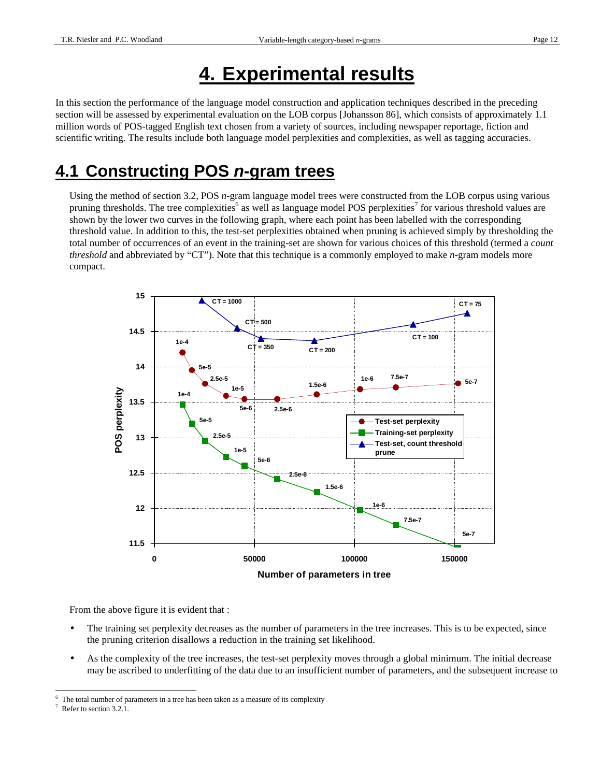# **4. Experimental results**

In this section the performance of the language model construction and application techniques described in the preceding section will be assessed by experimental evaluation on the LOB corpus [Johansson 86], which consists of approximately 1.1 million words of POS-tagged English text chosen from a variety of sources, including newspaper reportage, fiction and scientific writing. The results include both language model perplexities and complexities, as well as tagging accuracies.

## **4.1 Constructing POS n-gram trees**

Using the method of section 3.2, POS *n*-gram language model trees were constructed from the LOB corpus using various pruning thresholds. The tree complexities<sup>6</sup> as well as language model POS perplexities<sup>7</sup> for various threshold values are shown by the lower two curves in the following graph, where each point has been labelled with the corresponding threshold value. In addition to this, the test-set perplexities obtained when pruning is achieved simply by thresholding the total number of occurrences of an event in the training-set are shown for various choices of this threshold (termed a *count threshold* and abbreviated by "CT"). Note that this technique is a commonly employed to make *n*-gram models more compact.



From the above figure it is evident that :

- The training set perplexity decreases as the number of parameters in the tree increases. This is to be expected, since the pruning criterion disallows a reduction in the training set likelihood.
- As the complexity of the tree increases, the test-set perplexity moves through a global minimum. The initial decrease may be ascribed to underfitting of the data due to an insufficient number of parameters, and the subsequent increase to

<sup>-</sup>6 The total number of parameters in a tree has been taken as a measure of its complexity

<sup>7</sup> Refer to section 3.2.1.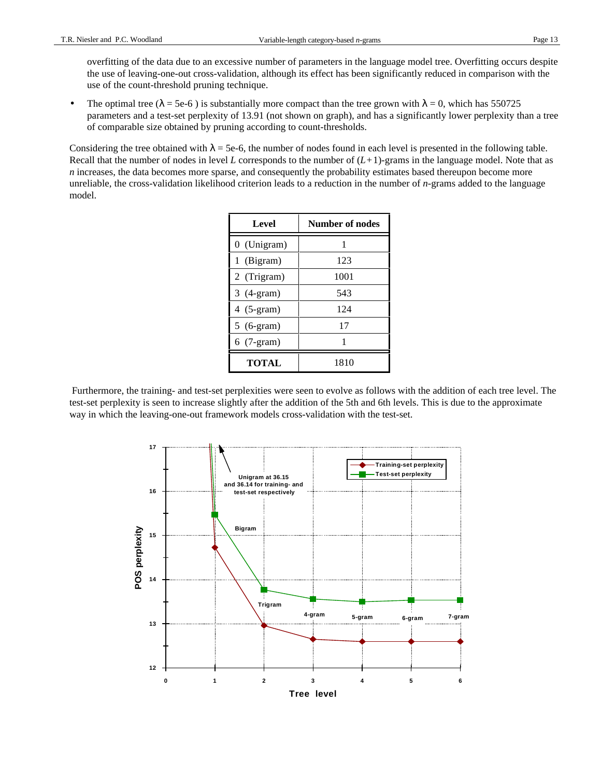overfitting of the data due to an excessive number of parameters in the language model tree. Overfitting occurs despite the use of leaving-one-out cross-validation, although its effect has been significantly reduced in comparison with the use of the count-threshold pruning technique.

• The optimal tree ( $\lambda$  = 5e-6) is substantially more compact than the tree grown with  $\lambda$  = 0, which has 550725 parameters and a test-set perplexity of 13.91 (not shown on graph), and has a significantly lower perplexity than a tree of comparable size obtained by pruning according to count-thresholds.

Considering the tree obtained with  $\lambda = 5e-6$ , the number of nodes found in each level is presented in the following table. Recall that the number of nodes in level *L* corresponds to the number of  $(L+1)$ -grams in the language model. Note that as *n* increases, the data becomes more sparse, and consequently the probability estimates based thereupon become more unreliable, the cross-validation likelihood criterion leads to a reduction in the number of *n*-grams added to the language model.

| Level        | <b>Number of nodes</b> |
|--------------|------------------------|
| 0 (Unigram)  | 1                      |
| 1 (Bigram)   | 123                    |
| 2 (Trigram)  | 1001                   |
| $3(4-gram)$  | 543                    |
| $4(5-gram)$  | 124                    |
| $5(6-gram)$  | 17                     |
| $6(7-gram)$  | 1                      |
| <b>TOTAL</b> | 1810                   |

 Furthermore, the training- and test-set perplexities were seen to evolve as follows with the addition of each tree level. The test-set perplexity is seen to increase slightly after the addition of the 5th and 6th levels. This is due to the approximate way in which the leaving-one-out framework models cross-validation with the test-set.

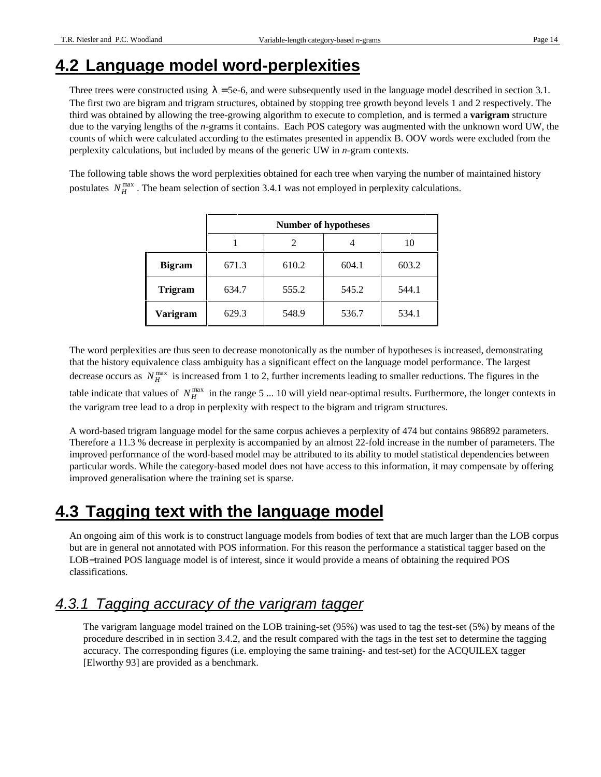## **4.2 Language model word-perplexities**

Three trees were constructed using  $\lambda = 5e-6$ , and were subsequently used in the language model described in section 3.1. The first two are bigram and trigram structures, obtained by stopping tree growth beyond levels 1 and 2 respectively. The third was obtained by allowing the tree-growing algorithm to execute to completion, and is termed a **varigram** structure due to the varying lengths of the *n*-grams it contains. Each POS category was augmented with the unknown word UW, the counts of which were calculated according to the estimates presented in appendix B. OOV words were excluded from the perplexity calculations, but included by means of the generic UW in *n*-gram contexts.

The following table shows the word perplexities obtained for each tree when varying the number of maintained history postulates  $N_H^{\text{max}}$ . The beam selection of section 3.4.1 was not employed in perplexity calculations.

|                | <b>Number of hypotheses</b> |       |       |       |
|----------------|-----------------------------|-------|-------|-------|
|                |                             | 2     |       | 10    |
| <b>Bigram</b>  | 671.3                       | 610.2 | 604.1 | 603.2 |
| <b>Trigram</b> | 634.7                       | 555.2 | 545.2 | 544.1 |
| Varigram       | 629.3                       | 548.9 | 536.7 | 534.1 |

The word perplexities are thus seen to decrease monotonically as the number of hypotheses is increased, demonstrating that the history equivalence class ambiguity has a significant effect on the language model performance. The largest decrease occurs as  $N_H^{\text{max}}$  is increased from 1 to 2, further increments leading to smaller reductions. The figures in the table indicate that values of  $N_H^{\text{max}}$  in the range 5 ... 10 will yield near-optimal results. Furthermore, the longer contexts in the varigram tree lead to a drop in perplexity with respect to the bigram and trigram structures.

A word-based trigram language model for the same corpus achieves a perplexity of 474 but contains 986892 parameters. Therefore a 11.3 % decrease in perplexity is accompanied by an almost 22-fold increase in the number of parameters. The improved performance of the word-based model may be attributed to its ability to model statistical dependencies between particular words. While the category-based model does not have access to this information, it may compensate by offering improved generalisation where the training set is sparse.

## **4.3 Tagging text with the language model**

An ongoing aim of this work is to construct language models from bodies of text that are much larger than the LOB corpus but are in general not annotated with POS information. For this reason the performance a statistical tagger based on the LOB−trained POS language model is of interest, since it would provide a means of obtaining the required POS classifications.

#### 4.3.1 Tagging accuracy of the varigram tagger

The varigram language model trained on the LOB training-set (95%) was used to tag the test-set (5%) by means of the procedure described in in section 3.4.2, and the result compared with the tags in the test set to determine the tagging accuracy. The corresponding figures (i.e. employing the same training- and test-set) for the ACQUILEX tagger [Elworthy 93] are provided as a benchmark.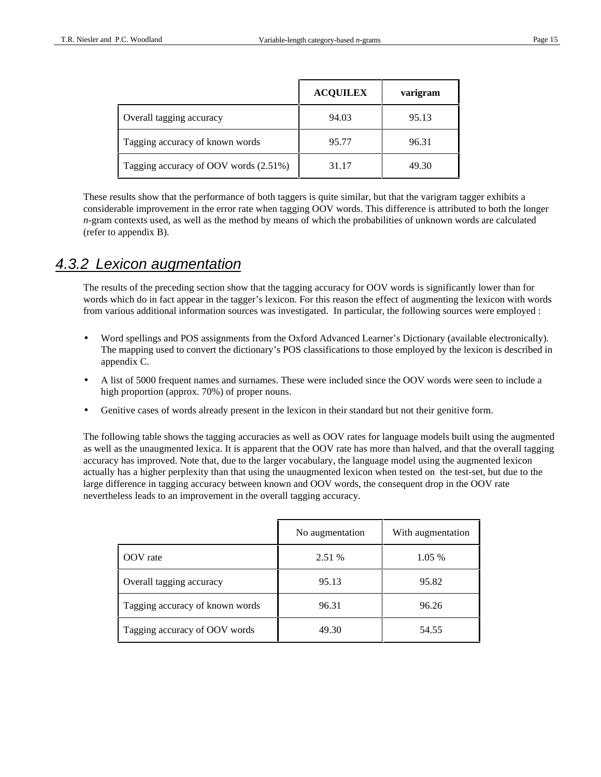|                                       | <b>ACQUILEX</b> | varigram |
|---------------------------------------|-----------------|----------|
| Overall tagging accuracy              | 94.03           | 95.13    |
| Tagging accuracy of known words       | 95.77           | 96.31    |
| Tagging accuracy of OOV words (2.51%) | 31.17           | 49.30    |

These results show that the performance of both taggers is quite similar, but that the varigram tagger exhibits a considerable improvement in the error rate when tagging OOV words. This difference is attributed to both the longer *n*-gram contexts used, as well as the method by means of which the probabilities of unknown words are calculated (refer to appendix B).

#### 4.3.2 Lexicon augmentation

The results of the preceding section show that the tagging accuracy for OOV words is significantly lower than for words which do in fact appear in the tagger's lexicon. For this reason the effect of augmenting the lexicon with words from various additional information sources was investigated. In particular, the following sources were employed :

- Word spellings and POS assignments from the Oxford Advanced Learner's Dictionary (available electronically). The mapping used to convert the dictionary's POS classifications to those employed by the lexicon is described in appendix C.
- A list of 5000 frequent names and surnames. These were included since the OOV words were seen to include a high proportion (approx. 70%) of proper nouns.
- Genitive cases of words already present in the lexicon in their standard but not their genitive form.

The following table shows the tagging accuracies as well as OOV rates for language models built using the augmented as well as the unaugmented lexica. It is apparent that the OOV rate has more than halved, and that the overall tagging accuracy has improved. Note that, due to the larger vocabulary, the language model using the augmented lexicon actually has a higher perplexity than that using the unaugmented lexicon when tested on the test-set, but due to the large difference in tagging accuracy between known and OOV words, the consequent drop in the OOV rate nevertheless leads to an improvement in the overall tagging accuracy.

|                                 | No augmentation | With augmentation |
|---------------------------------|-----------------|-------------------|
| OOV rate                        | 2.51 %          | 1.05 %            |
| Overall tagging accuracy        | 95.13           | 95.82             |
| Tagging accuracy of known words | 96.31           | 96.26             |
| Tagging accuracy of OOV words   | 49.30           | 54.55             |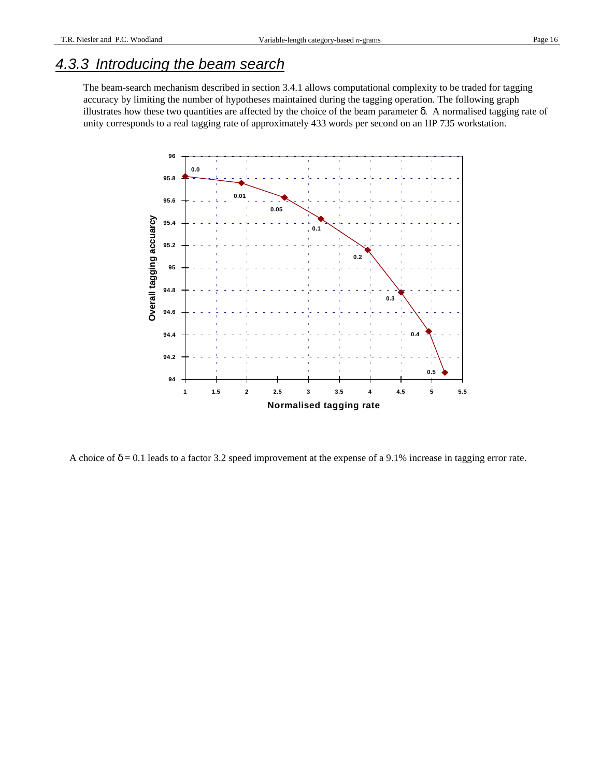#### 4.3.3 Introducing the beam search

The beam-search mechanism described in section 3.4.1 allows computational complexity to be traded for tagging accuracy by limiting the number of hypotheses maintained during the tagging operation. The following graph illustrates how these two quantities are affected by the choice of the beam parameter δ. A normalised tagging rate of unity corresponds to a real tagging rate of approximately 433 words per second on an HP 735 workstation.



A choice of  $\delta$  = 0.1 leads to a factor 3.2 speed improvement at the expense of a 9.1% increase in tagging error rate.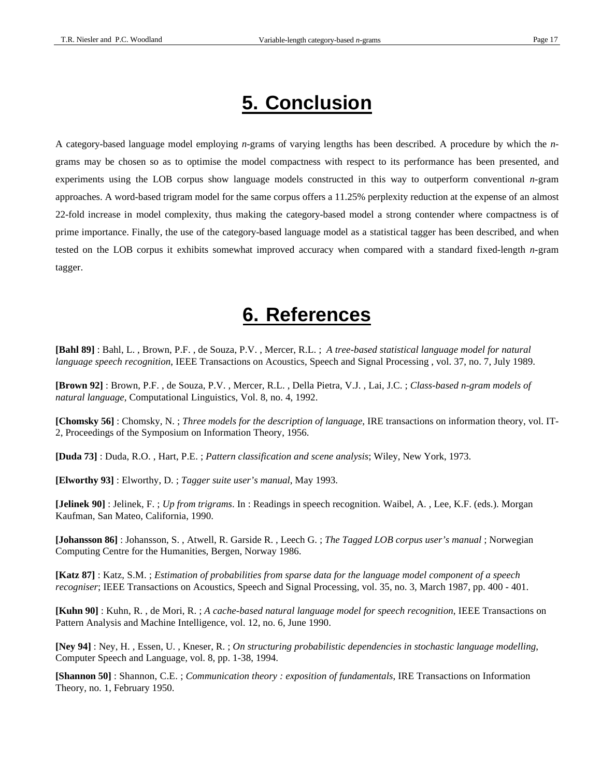# **5. Conclusion**

A category-based language model employing *n-*grams of varying lengths has been described. A procedure by which the *n*grams may be chosen so as to optimise the model compactness with respect to its performance has been presented, and experiments using the LOB corpus show language models constructed in this way to outperform conventional *n*-gram approaches. A word-based trigram model for the same corpus offers a 11.25% perplexity reduction at the expense of an almost 22-fold increase in model complexity, thus making the category-based model a strong contender where compactness is of prime importance. Finally, the use of the category-based language model as a statistical tagger has been described, and when tested on the LOB corpus it exhibits somewhat improved accuracy when compared with a standard fixed-length *n*-gram tagger.

## **6. References**

**[Bahl 89]** : Bahl, L. , Brown, P.F. , de Souza, P.V. , Mercer, R.L. ; *A tree-based statistical language model for natural language speech recognition*, IEEE Transactions on Acoustics, Speech and Signal Processing , vol. 37, no. 7, July 1989.

**[Brown 92]** : Brown, P.F. , de Souza, P.V. , Mercer, R.L. , Della Pietra, V.J. , Lai, J.C. ; *Class-based n-gram models of natural language*, Computational Linguistics, Vol. 8, no. 4, 1992.

**[Chomsky 56]** : Chomsky, N. ; *Three models for the description of language*, IRE transactions on information theory, vol. IT-2, Proceedings of the Symposium on Information Theory, 1956.

**[Duda 73]** : Duda, R.O. , Hart, P.E. ; *Pattern classification and scene analysis*; Wiley, New York, 1973.

**[Elworthy 93]** : Elworthy, D. ; *Tagger suite user's manual*, May 1993.

**[Jelinek 90]** : Jelinek, F. ; *Up from trigrams*. In : Readings in speech recognition. Waibel, A. , Lee, K.F. (eds.). Morgan Kaufman, San Mateo, California, 1990.

**[Johansson 86]** : Johansson, S. , Atwell, R. Garside R. , Leech G. ; *The Tagged LOB corpus user's manual* ; Norwegian Computing Centre for the Humanities, Bergen, Norway 1986.

**[Katz 87]** : Katz, S.M. ; *Estimation of probabilities from sparse data for the language model component of a speech recogniser*; IEEE Transactions on Acoustics, Speech and Signal Processing, vol. 35, no. 3, March 1987, pp. 400 - 401.

**[Kuhn 90]** : Kuhn, R. , de Mori, R. ; *A cache-based natural language model for speech recognition*, IEEE Transactions on Pattern Analysis and Machine Intelligence, vol. 12, no. 6, June 1990.

**[Ney 94]** : Ney, H. , Essen, U. , Kneser, R. ; *On structuring probabilistic dependencies in stochastic language modelling*, Computer Speech and Language, vol. 8, pp. 1-38, 1994.

**[Shannon 50]** : Shannon, C.E. ; *Communication theory : exposition of fundamentals*, IRE Transactions on Information Theory, no. 1, February 1950.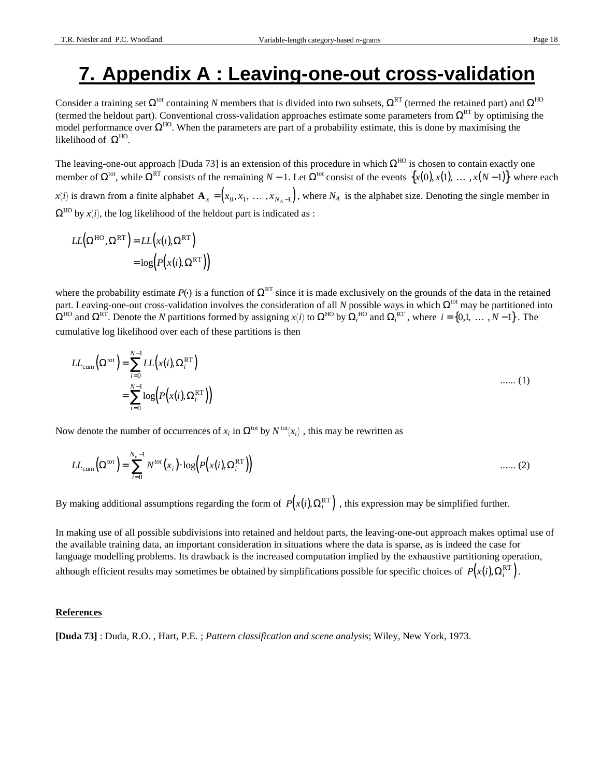# **7. Appendix A : Leaving-one-out cross-validation**

Consider a training set  $\Omega^{tot}$  containing *N* members that is divided into two subsets,  $\Omega^{RT}$  (termed the retained part) and  $\Omega^{HO}$ (termed the heldout part). Conventional cross-validation approaches estimate some parameters from  $\Omega^{RT}$  by optimising the model performance over  $\Omega^{HO}$ . When the parameters are part of a probability estimate, this is done by maximising the likelihood of  $\Omega^{\text{HO}}$ .

The leaving-one-out approach [Duda 73] is an extension of this procedure in which  $\Omega^{HO}$  is chosen to contain exactly one member of  $\Omega^{tot}$ , while  $\Omega^{RT}$  consists of the remaining  $N-1$ . Let  $\Omega^{tot}$  consist of the events  $\{x(0), x(1), \dots, x(N-1)\}$  where each  $x(i)$  is drawn from a finite alphabet  $\mathbf{A}_x = (x_0, x_1, \dots, x_{N_A-1})$ , where  $N_A$  is the alphabet size. Denoting the single member in

 $\Omega^{\text{HO}}$  by *x*(*i*), the log likelihood of the heldout part is indicated as :

$$
LL(\Omega^{\text{HO}}, \Omega^{\text{RT}}) = LL(x(i), \Omega^{\text{RT}})
$$
  
= log(P(x(i), \Omega^{\text{RT}}))

where the probability estimate  $P()$  is a function of  $\Omega^{RT}$  since it is made exclusively on the grounds of the data in the retained part. Leaving-one-out cross-validation involves the consideration of all *N* possible ways in which  $\Omega^{tot}$  may be partitioned into  $\Omega^{\text{HO}}$  and  $\Omega^{\text{RT}}$ . Denote the *N* partitions formed by assigning *x*(*i*) to  $\Omega^{\text{HO}}$  by  $\Omega_i^{\text{HO}}$  and  $\Omega_i^{\text{RT}}$ , where *i* = {0,1, ..., *N* −1}. The cumulative log likelihood over each of these partitions is then

$$
LL_{cum}(\Omega^{tot}) = \sum_{i=0}^{N-1} LL(x(i), \Omega_i^{RT})
$$
  
= 
$$
\sum_{i=0}^{N-1} log(P(x(i), \Omega_i^{RT}))
$$
 ...... (1)

Now denote the number of occurrences of  $x_i$  in  $\Omega^{tot}$  by  $N^{tot}(x_i)$ , this may be rewritten as

$$
LL_{\text{cum}}\left(\Omega^{\text{tot}}\right) = \sum_{i=0}^{N_{\text{v}}-1} N^{\text{tot}}\left(x_{i}\right) \cdot \log\left(P\left(x(i), \Omega_{i}^{\text{RT}}\right)\right) \tag{2}
$$

By making additional assumptions regarding the form of  $P(x(i), \Omega_i^{RT})$ , this expression may be simplified further.

In making use of all possible subdivisions into retained and heldout parts, the leaving-one-out approach makes optimal use of the available training data, an important consideration in situations where the data is sparse, as is indeed the case for language modelling problems. Its drawback is the increased computation implied by the exhaustive partitioning operation, although efficient results may sometimes be obtained by simplifications possible for specific choices of  $P(x(i), \Omega_i^{\text{RT}})$ .

#### **References**

**[Duda 73]** : Duda, R.O. , Hart, P.E. ; *Pattern classification and scene analysis*; Wiley, New York, 1973.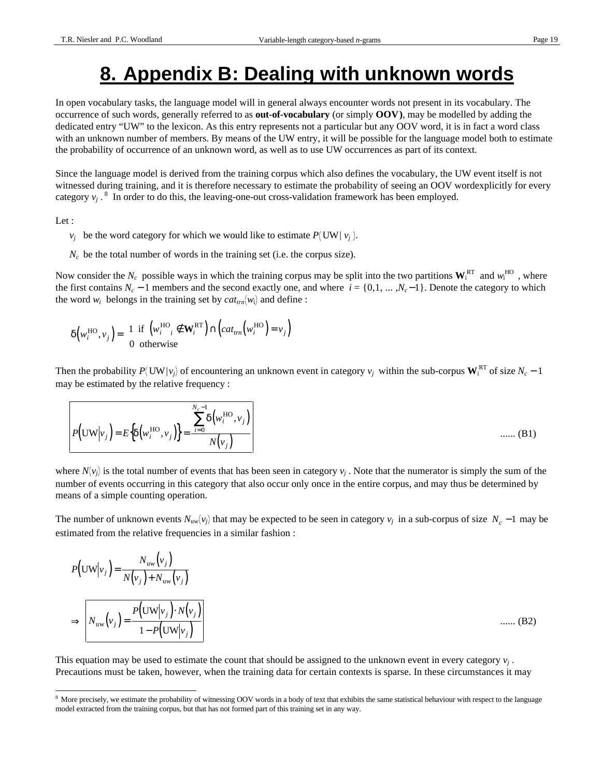# **8. Appendix B: Dealing with unknown words**

In open vocabulary tasks, the language model will in general always encounter words not present in its vocabulary. The occurrence of such words, generally referred to as **out-of-vocabulary** (or simply **OOV)**, may be modelled by adding the dedicated entry "UW" to the lexicon. As this entry represents not a particular but any OOV word, it is in fact a word class with an unknown number of members. By means of the UW entry, it will be possible for the language model both to estimate the probability of occurrence of an unknown word, as well as to use UW occurrences as part of its context.

Since the language model is derived from the training corpus which also defines the vocabulary, the UW event itself is not witnessed during training, and it is therefore necessary to estimate the probability of seeing an OOV wordexplicitly for every category  $v_j$ .<sup>8</sup> In order to do this, the leaving-one-out cross-validation framework has been employed.

Let :

-

- $v_j$  be the word category for which we would like to estimate  $P(\text{UW} | v_j)$ .
- $N_c$  be the total number of words in the training set (i.e. the corpus size).

Now consider the  $N_c$  possible ways in which the training corpus may be split into the two partitions  $W_i^{RT}$  and  $w_i^{HO}$ , where the first contains  $N_c - 1$  members and the second exactly one, and where  $i = \{0, 1, ..., N_c - 1\}$ . Denote the category to which the word  $w_i$  belongs in the training set by  $cat_{trn}(w_i)$  and define :

$$
\delta\left(w_i^{\text{HO}}, v_j\right) = \begin{cases} 1 & \text{if } \left(w_i^{\text{HO}}\right) \notin \mathbf{W}_i^{\text{RT}}\right) \cap \left(\text{cat}_{tm}\left(w_i^{\text{HO}}\right) = v_j\right) \\ 0 & \text{otherwise} \end{cases}
$$

Then the probability  $P(\text{UW}|v_j)$  of encountering an unknown event in category  $v_j$  within the sub-corpus  $\text{W}_i^{RT}$  of size  $N_c - 1$ may be estimated by the relative frequency :

$$
P(\text{UW}|\nu_j) = E\{\delta(w_i^{\text{HO}}, \nu_j)\} = \frac{\sum_{i=0}^{N_c-1} \delta(w_i^{\text{HO}}, \nu_j)}{N(\nu_j)}
$$
 ...... (B1)

where  $N(v_j)$  is the total number of events that has been seen in category  $v_j$ . Note that the numerator is simply the sum of the number of events occurring in this category that also occur only once in the entire corpus, and may thus be determined by means of a simple counting operation.

The number of unknown events  $N_{uw}(v_j)$  that may be expected to be seen in category  $v_j$  in a sub-corpus of size  $N_c - 1$  may be estimated from the relative frequencies in a similar fashion :

$$
P(\text{UW}|\nu_j) = \frac{N_{\text{uw}}(\nu_j)}{N(\nu_j) + N_{\text{uw}}(\nu_j)}
$$
  
\n
$$
\Rightarrow \left[ N_{\text{uw}}(\nu_j) = \frac{P(\text{UW}|\nu_j) \cdot N(\nu_j)}{1 - P(\text{UW}|\nu_j)} \right] \quad \dots \dots \quad (B2)
$$

This equation may be used to estimate the count that should be assigned to the unknown event in every category *v<sup>j</sup>* . Precautions must be taken, however, when the training data for certain contexts is sparse. In these circumstances it may

<sup>&</sup>lt;sup>8</sup> More precisely, we estimate the probability of witnessing OOV words in a body of text that exhibits the same statistical behaviour with respect to the language model extracted from the training corpus, but that has not formed part of this training set in any way.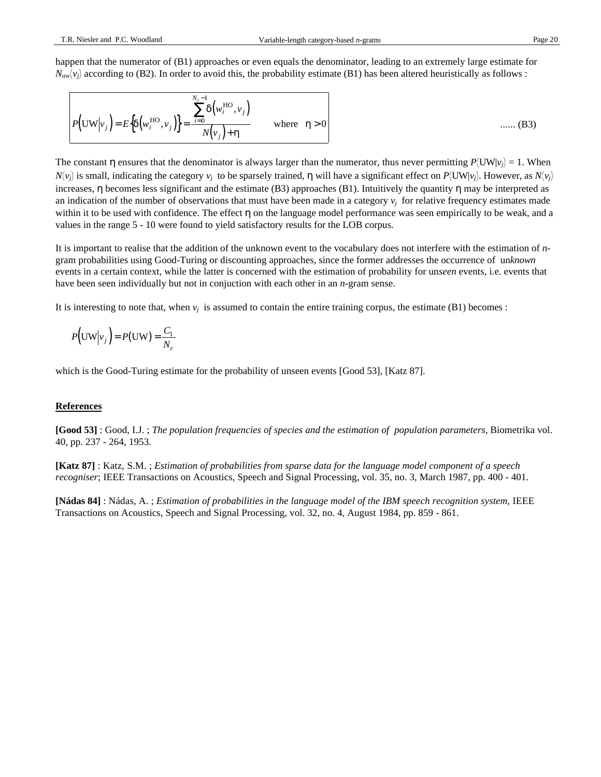happen that the numerator of (B1) approaches or even equals the denominator, leading to an extremely large estimate for  $N_{uw}(v_j)$  according to (B2). In order to avoid this, the probability estimate (B1) has been altered heuristically as follows :

$$
P\left(\text{UW}\Big|v_j\right) = E\left\{\delta\left(w_i^{\text{HO}}, v_j\right)\right\} = \frac{\sum_{i=0}^{N_c-1} \delta\left(w_i^{\text{HO}}, v_j\right)}{N\left(v_j\right) + \eta} \qquad \text{where} \quad \eta > 0 \qquad \qquad \dots \tag{B3}
$$

The constant  $\eta$  ensures that the denominator is always larger than the numerator, thus never permitting  $P(\text{UW}|v_j) = 1$ . When *N*(*v<sub>j</sub>*) is small, indicating the category *v<sub>j</sub>* to be sparsely trained, η will have a significant effect on *P*(UW|*v<sub>j</sub>*). However, as *N*(*v<sub>j</sub>* increases, η becomes less significant and the estimate (B3) approaches (B1). Intuitively the quantity η may be interpreted as an indication of the number of observations that must have been made in a category  $v_j$  for relative frequency estimates made within it to be used with confidence. The effect η on the language model performance was seen empirically to be weak, and a values in the range 5 - 10 were found to yield satisfactory results for the LOB corpus.

It is important to realise that the addition of the unknown event to the vocabulary does not interfere with the estimation of *n*gram probabilities using Good-Turing or discounting approaches, since the former addresses the occurrence of un*known* events in a certain context, while the latter is concerned with the estimation of probability for un*seen* events, i.e. events that have been seen individually but not in conjuction with each other in an *n*-gram sense.

It is interesting to note that, when  $v_j$  is assumed to contain the entire training corpus, the estimate (B1) becomes :

$$
P\left(\text{UW}\big|v_j\right) = P(\text{UW}) = \frac{C_1}{N_c}
$$

which is the Good-Turing estimate for the probability of unseen events [Good 53], [Katz 87].

#### **References**

**[Good 53]** : Good, I.J. ; *The population frequencies of species and the estimation of population parameters*, Biometrika vol. 40, pp. 237 - 264, 1953.

**[Katz 87]** : Katz, S.M. ; *Estimation of probabilities from sparse data for the language model component of a speech recogniser*; IEEE Transactions on Acoustics, Speech and Signal Processing, vol. 35, no. 3, March 1987, pp. 400 - 401.

**[Nádas 84]** : Nádas, A. ; *Estimation of probabilities in the language model of the IBM speech recognition system*, IEEE Transactions on Acoustics, Speech and Signal Processing, vol. 32, no. 4, August 1984, pp. 859 - 861.